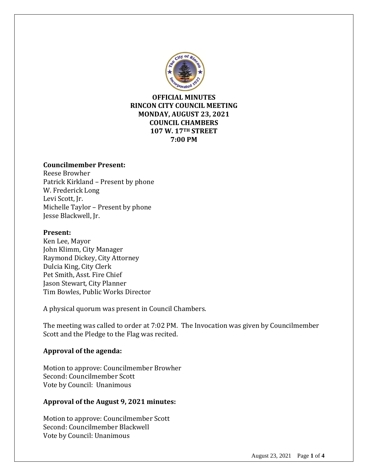

**OFFICIAL MINUTES RINCON CITY COUNCIL MEETING MONDAY, AUGUST 23, 2021 COUNCIL CHAMBERS 107 W. 17TH STREET 7:00 PM**

#### **Councilmember Present:**

Reese Browher Patrick Kirkland – Present by phone W. Frederick Long Levi Scott, Jr. Michelle Taylor – Present by phone Jesse Blackwell, Jr.

### **Present:**

Ken Lee, Mayor John Klimm, City Manager Raymond Dickey, City Attorney Dulcia King, City Clerk Pet Smith, Asst. Fire Chief Jason Stewart, City Planner Tim Bowles, Public Works Director

A physical quorum was present in Council Chambers.

The meeting was called to order at 7:02 PM. The Invocation was given by Councilmember Scott and the Pledge to the Flag was recited.

#### **Approval of the agenda:**

Motion to approve: Councilmember Browher Second: Councilmember Scott Vote by Council: Unanimous

#### **Approval of the August 9, 2021 minutes:**

Motion to approve: Councilmember Scott Second: Councilmember Blackwell Vote by Council: Unanimous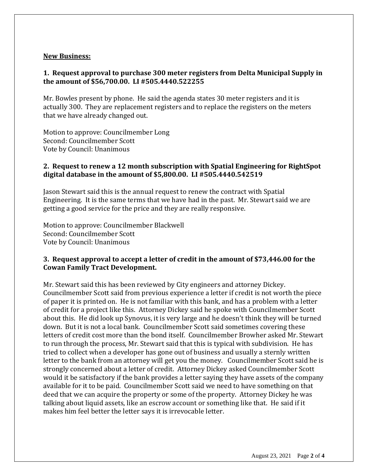#### **New Business:**

### **1. Request approval to purchase 300 meter registers from Delta Municipal Supply in the amount of \$56,700.00. LI #505.4440.522255**

Mr. Bowles present by phone. He said the agenda states 30 meter registers and it is actually 300. They are replacement registers and to replace the registers on the meters that we have already changed out.

Motion to approve: Councilmember Long Second: Councilmember Scott Vote by Council: Unanimous

## **2. Request to renew a 12 month subscription with Spatial Engineering for RightSpot digital database in the amount of \$5,800.00. LI #505.4440.542519**

Jason Stewart said this is the annual request to renew the contract with Spatial Engineering. It is the same terms that we have had in the past. Mr. Stewart said we are getting a good service for the price and they are really responsive.

Motion to approve: Councilmember Blackwell Second: Councilmember Scott Vote by Council: Unanimous

### **3. Request approval to accept a letter of credit in the amount of \$73,446.00 for the Cowan Family Tract Development.**

Mr. Stewart said this has been reviewed by City engineers and attorney Dickey. Councilmember Scott said from previous experience a letter if credit is not worth the piece of paper it is printed on. He is not familiar with this bank, and has a problem with a letter of credit for a project like this. Attorney Dickey said he spoke with Councilmember Scott about this. He did look up Synovus, it is very large and he doesn't think they will be turned down. But it is not a local bank. Councilmember Scott said sometimes covering these letters of credit cost more than the bond itself. Councilmember Browher asked Mr. Stewart to run through the process, Mr. Stewart said that this is typical with subdivision. He has tried to collect when a developer has gone out of business and usually a sternly written letter to the bank from an attorney will get you the money. Councilmember Scott said he is strongly concerned about a letter of credit. Attorney Dickey asked Councilmember Scott would it be satisfactory if the bank provides a letter saying they have assets of the company available for it to be paid. Councilmember Scott said we need to have something on that deed that we can acquire the property or some of the property. Attorney Dickey he was talking about liquid assets, like an escrow account or something like that. He said if it makes him feel better the letter says it is irrevocable letter.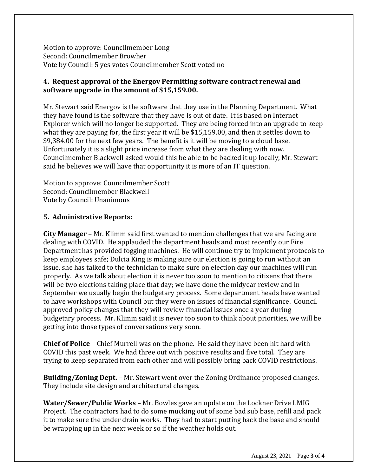Motion to approve: Councilmember Long Second: Councilmember Browher Vote by Council: 5 yes votes Councilmember Scott voted no

# **4. Request approval of the Energov Permitting software contract renewal and software upgrade in the amount of \$15,159.00.**

Mr. Stewart said Energov is the software that they use in the Planning Department. What they have found is the software that they have is out of date. It is based on Internet Explorer which will no longer be supported. They are being forced into an upgrade to keep what they are paying for, the first year it will be \$15,159.00, and then it settles down to \$9,384.00 for the next few years. The benefit is it will be moving to a cloud base. Unfortunately it is a slight price increase from what they are dealing with now. Councilmember Blackwell asked would this be able to be backed it up locally, Mr. Stewart said he believes we will have that opportunity it is more of an IT question.

Motion to approve: Councilmember Scott Second: Councilmember Blackwell Vote by Council: Unanimous

## **5. Administrative Reports:**

**City Manager** – Mr. Klimm said first wanted to mention challenges that we are facing are dealing with COVID. He applauded the department heads and most recently our Fire Department has provided fogging machines. He will continue try to implement protocols to keep employees safe; Dulcia King is making sure our election is going to run without an issue, she has talked to the technician to make sure on election day our machines will run properly. As we talk about election it is never too soon to mention to citizens that there will be two elections taking place that day; we have done the midyear review and in September we usually begin the budgetary process. Some department heads have wanted to have workshops with Council but they were on issues of financial significance. Council approved policy changes that they will review financial issues once a year during budgetary process. Mr. Klimm said it is never too soon to think about priorities, we will be getting into those types of conversations very soon.

**Chief of Police** – Chief Murrell was on the phone. He said they have been hit hard with COVID this past week. We had three out with positive results and five total. They are trying to keep separated from each other and will possibly bring back COVID restrictions.

**Building/Zoning Dept.** – Mr. Stewart went over the Zoning Ordinance proposed changes. They include site design and architectural changes.

**Water/Sewer/Public Works** – Mr. Bowles gave an update on the Lockner Drive LMIG Project. The contractors had to do some mucking out of some bad sub base, refill and pack it to make sure the under drain works. They had to start putting back the base and should be wrapping up in the next week or so if the weather holds out.